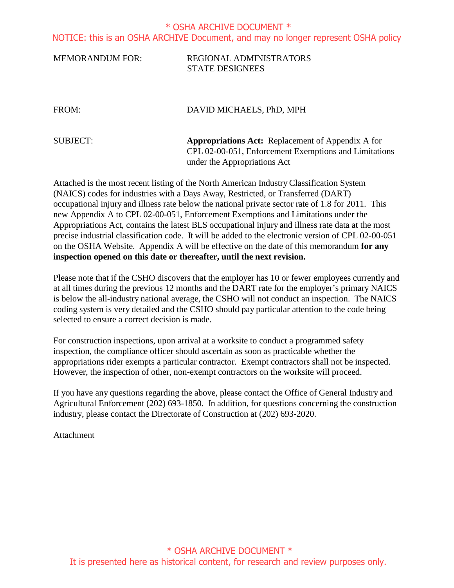## MEMORANDUM FOR: REGIONAL ADMINISTRATORS STATE DESIGNEES

## FROM: DAVID MICHAELS, PhD, MPH

SUBJECT: **Appropriations Act:** Replacement of Appendix A for CPL 02-00-051, Enforcement Exemptions and Limitations under the Appropriations Act

Attached is the most recent listing of the North American Industry Classification System (NAICS) codes for industries with a Days Away, Restricted, or Transferred (DART) occupational injury and illness rate below the national private sector rate of 1.8 for 2011. This new Appendix A to CPL 02-00-051, Enforcement Exemptions and Limitations under the Appropriations Act, contains the latest BLS occupational injury and illness rate data at the most precise industrial classification code. It will be added to the electronic version of CPL 02-00-051 on the OSHA Website. Appendix A will be effective on the date of this memorandum **for any inspection opened on this date or thereafter, until the next revision.**

Please note that if the CSHO discovers that the employer has 10 or fewer employees currently and at all times during the previous 12 months and the DART rate for the employer's primary NAICS is below the all-industry national average, the CSHO will not conduct an inspection. The NAICS coding system is very detailed and the CSHO should pay particular attention to the code being selected to ensure a correct decision is made.

For construction inspections, upon arrival at a worksite to conduct a programmed safety inspection, the compliance officer should ascertain as soon as practicable whether the appropriations rider exempts a particular contractor. Exempt contractors shall not be inspected. However, the inspection of other, non-exempt contractors on the worksite will proceed.

If you have any questions regarding the above, please contact the Office of General Industry and Agricultural Enforcement (202) 693-1850. In addition, for questions concerning the construction industry, please contact the Directorate of Construction at (202) 693-2020.

Attachment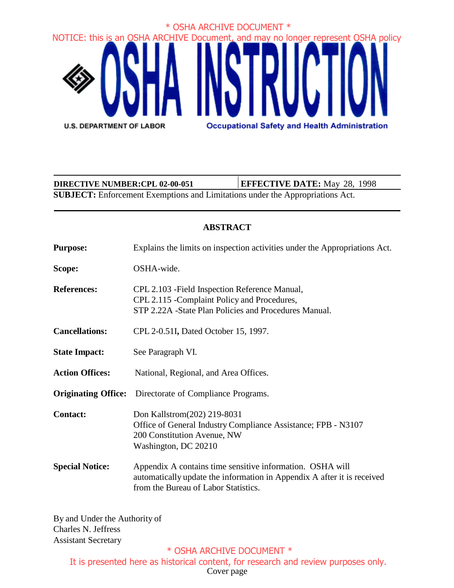

**SUBJECT:** Enforcement Exemptions and Limitations under the Appropriations Act. **DIRECTIVE NUMBER:CPL 02-00-051 EFFECTIVE DATE:** May 28, 1998

## **ABSTRACT**

**Purpose:** Explains the limits on inspection activities under the Appropriations Act.

**Scope:** OSHA-wide.

**References:** CPL 2.103 -Field Inspection Reference Manual, CPL 2.115 -Complaint Policy and Procedures, STP 2.22A -State Plan Policies and Procedures Manual.

- **Cancellations:** CPL 2-0.51I**,** Dated October 15, 1997.
- **State Impact:** See Paragraph VI.

**Action Offices:** National, Regional, and Area Offices.

**Originating Office:** Directorate of Compliance Programs.

**Contact:** Don Kallstrom(202) 219-8031 Office of General Industry Compliance Assistance; FPB - N3107 200 Constitution Avenue, NW Washington, DC 20210

**Special Notice:** Appendix A contains time sensitive information. OSHA will automatically update the information in Appendix A after it is received from the Bureau of Labor Statistics.

By and Under the Authority of Charles N. Jeffress Assistant Secretary

## \* OSHA ARCHIVE DOCUMENT \*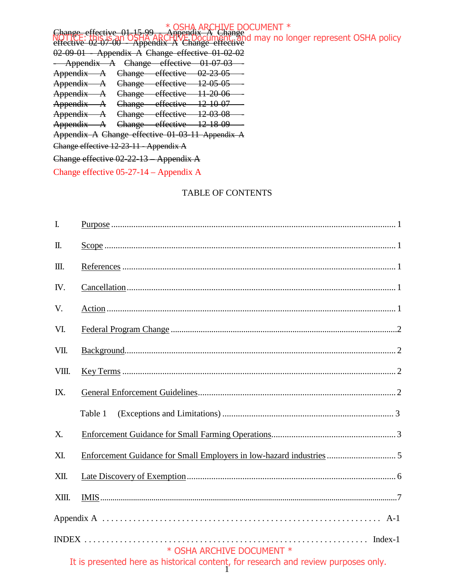Change effective 01-15-99 - Appendix A Change effective 02-07-00 - Appendix A Change effective 02-09-01 - Appendix A Change effective 01-02-02 Appendix A Change effective 01-07-03 Appendix A Change effective 02-23-05 Appendix A Change effective 12-05-05 Appendix A Change effective 11-20-06 Appendix A Change effective 12-10-07 Appendix A Change effective 12-03-08 Appendix A Change effective 12-18-09 Appendix A Change effective 01-03-11 Appendix A Change effective 12-23-11 - Appendix A Change effective 02-22-13 – Appendix A Change effective 05-27-14 – Appendix A \* OSHA ARCHIVE DOCUMENT \* NOTICE: this is an OSHA ARCHIVE Document, and may no longer represent OSHA policy

### TABLE OF CONTENTS

| $\overline{I}$ . |                                                                                                                 |
|------------------|-----------------------------------------------------------------------------------------------------------------|
| Π.               |                                                                                                                 |
| Ш.               |                                                                                                                 |
| IV.              |                                                                                                                 |
| V.               |                                                                                                                 |
| VI.              |                                                                                                                 |
| VII.             |                                                                                                                 |
| VIII.            |                                                                                                                 |
| IX.              |                                                                                                                 |
|                  | Table 1                                                                                                         |
| X.               |                                                                                                                 |
| XI.              |                                                                                                                 |
| XII.             |                                                                                                                 |
| XIII.            |                                                                                                                 |
|                  |                                                                                                                 |
|                  | * OSHA ARCHIVE DOCUMENT *<br>It is presented here as historical content, for research and review purposes only. |
|                  |                                                                                                                 |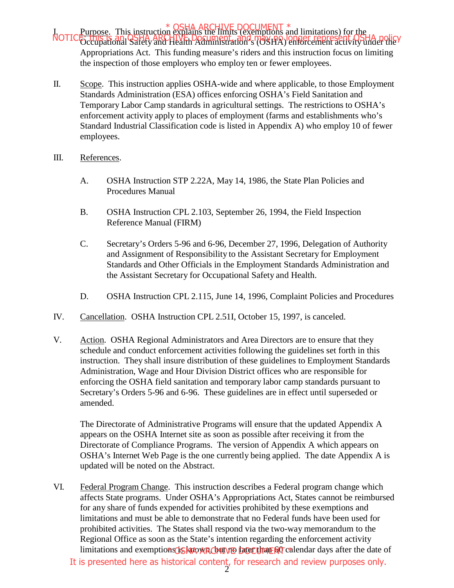FOSHA ARCHIVE DOCUMENT \*<br>In Purpose. This instruction explains the limits (exemptions and limitations) for the NOTICE: this is an OSHA ARCHIVE Document, and may no longer represent OSHA policy Appropriations Act. This funding measure's riders and this instruction focus on limiting the inspection of those employers who employ ten or fewer employees.

- II. Scope. This instruction applies OSHA-wide and where applicable, to those Employment Standards Administration (ESA) offices enforcing OSHA's Field Sanitation and Temporary Labor Camp standards in agricultural settings. The restrictions to OSHA's enforcement activity apply to places of employment (farms and establishments who's Standard Industrial Classification code is listed in Appendix A) who employ 10 of fewer employees.
- III. References.
	- A. OSHA Instruction STP 2.22A, May 14, 1986, the State Plan Policies and Procedures Manual
	- B. OSHA Instruction CPL 2.103, September 26, 1994, the Field Inspection Reference Manual (FIRM)
	- C. Secretary's Orders 5-96 and 6-96, December 27, 1996, Delegation of Authority and Assignment of Responsibility to the Assistant Secretary for Employment Standards and Other Officials in the Employment Standards Administration and the Assistant Secretary for Occupational Safety and Health.
	- D. OSHA Instruction CPL 2.115, June 14, 1996, Complaint Policies and Procedures
- IV. Cancellation. OSHA Instruction CPL 2.51I, October 15, 1997, is canceled.
- V. Action. OSHA Regional Administrators and Area Directors are to ensure that they schedule and conduct enforcement activities following the guidelines set forth in this instruction. They shall insure distribution of these guidelines to Employment Standards Administration, Wage and Hour Division District offices who are responsible for enforcing the OSHA field sanitation and temporary labor camp standards pursuant to Secretary's Orders 5-96 and 6-96. These guidelines are in effect until superseded or amended.

The Directorate of Administrative Programs will ensure that the updated Appendix A appears on the OSHA Internet site as soon as possible after receiving it from the Directorate of Compliance Programs. The version of Appendix A which appears on OSHA's Internet Web Page is the one currently being applied. The date Appendix A is updated will be noted on the Abstract.

VI. Federal Program Change. This instruction describes a Federal program change which affects State programs. Under OSHA's Appropriations Act, States cannot be reimbursed for any share of funds expended for activities prohibited by these exemptions and limitations and must be able to demonstrate that no Federal funds have been used for prohibited activities. The States shall respond via the two-way memorandum to the Regional Office as soon as the State's intention regarding the enforcement activity limitations and exemptions **GS APO ARCHIVE DOCUMENT** calendar days after the date of It is presented here as historical content, for research and review purposes only.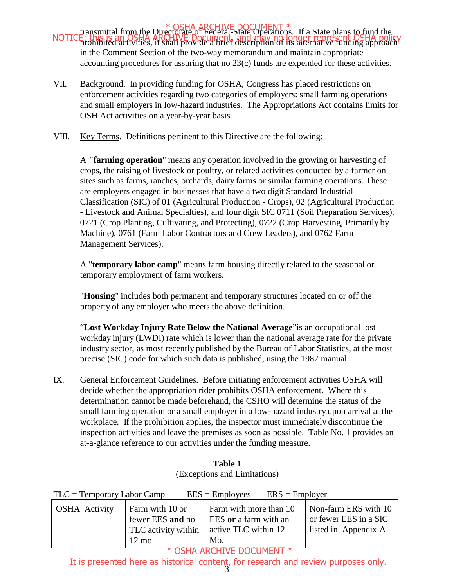- transmittal from the Directorate of Federal-State Operations. If a State plans to fund the prohibited activities, it shall provide a brief description of its alternative funding approach NOTICE: this is an OSHA ARCHIVE Document, and may no longer represent OSHA policy in the Comment Section of the two-way memorandum and maintain appropriate accounting procedures for assuring that no 23(c) funds are expended for these activities.
- VII. Background. In providing funding for OSHA, Congress has placed restrictions on enforcement activities regarding two categories of employers: small farming operations and small employers in low-hazard industries. The Appropriations Act contains limits for OSH Act activities on a year-by-year basis.
- VIII. Key Terms. Definitions pertinent to this Directive are the following:

A **"farming operation**" means any operation involved in the growing or harvesting of crops, the raising of livestock or poultry, or related activities conducted by a farmer on sites such as farms, ranches, orchards, dairy farms or similar farming operations. These are employers engaged in businesses that have a two digit Standard Industrial Classification (SIC) of 01 (Agricultural Production - Crops), 02 (Agricultural Production - Livestock and Animal Specialties), and four digit SIC 0711 (Soil Preparation Services), 0721 (Crop Planting, Cultivating, and Protecting), 0722 (Crop Harvesting, Primarily by Machine), 0761 (Farm Labor Contractors and Crew Leaders), and 0762 Farm Management Services).

A "**temporary labor camp**" means farm housing directly related to the seasonal or temporary employment of farm workers.

"**Housing**" includes both permanent and temporary structures located on or off the property of any employer who meets the above definition.

"**Lost Workday Injury Rate Below the National Average**"is an occupational lost workday injury (LWDI) rate which is lower than the national average rate for the private industry sector, as most recently published by the Bureau of Labor Statistics, at the most precise (SIC) code for which such data is published, using the 1987 manual.

IX. General Enforcement Guidelines. Before initiating enforcement activities OSHA will decide whether the appropriation rider prohibits OSHA enforcement. Where this determination cannot be made beforehand, the CSHO will determine the status of the small farming operation or a small employer in a low-hazard industry upon arrival at the workplace. If the prohibition applies, the inspector must immediately discontinue the inspection activities and leave the premises as soon as possible. Table No. 1 provides an at-a-glance reference to our activities under the funding measure.

| <b>Table 1</b>               |
|------------------------------|
| (Exceptions and Limitations) |

 $TLC =$  Temporary Labor Camp EES = Employees ERS = Employer

| <b>OSHA</b> Activity | Farm with 10 or<br>fewer EES and no | Farm with more than 10<br>EES or a farm with an | Non-farm ERS with 10<br>or fewer EES in a SIC |
|----------------------|-------------------------------------|-------------------------------------------------|-----------------------------------------------|
|                      | TLC activity within                 | active TLC within 12                            | listed in Appendix A                          |
|                      | $12 \text{ mo}$ .                   | Mo.                                             |                                               |
|                      |                                     | HA ARCHIVE DOCHMENT *                           |                                               |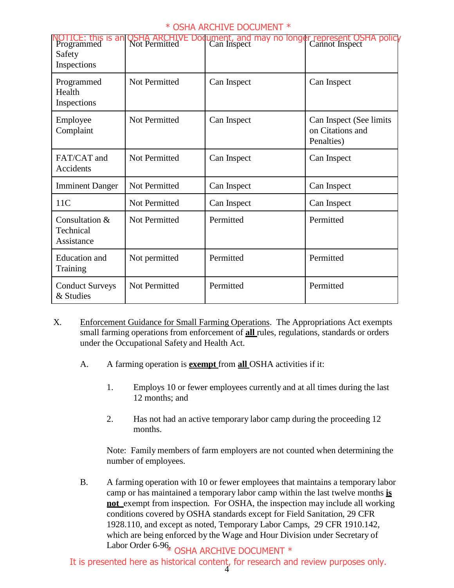| OTICE: this is an<br>Programmed<br>Safety<br>Inspections | OSHA ARCHI<br>Not Permitted | ument, and may no longer represent OSHA policy<br>Can Inspect [ Cannot Inspect |                                                           |
|----------------------------------------------------------|-----------------------------|--------------------------------------------------------------------------------|-----------------------------------------------------------|
| Programmed<br>Health<br>Inspections                      | Not Permitted               | Can Inspect                                                                    | Can Inspect                                               |
| Employee<br>Complaint                                    | Not Permitted               | Can Inspect                                                                    | Can Inspect (See limits<br>on Citations and<br>Penalties) |
| FAT/CAT and<br>Accidents                                 | <b>Not Permitted</b>        | Can Inspect                                                                    | Can Inspect                                               |
| <b>Imminent Danger</b>                                   | Not Permitted               | Can Inspect                                                                    | Can Inspect                                               |
| 11C                                                      | Not Permitted               | Can Inspect                                                                    | Can Inspect                                               |
| Consultation &<br>Technical<br>Assistance                | Not Permitted               | Permitted                                                                      | Permitted                                                 |
| <b>Education</b> and<br>Training                         | Not permitted               | Permitted                                                                      | Permitted                                                 |
| <b>Conduct Surveys</b><br>& Studies                      | <b>Not Permitted</b>        | Permitted                                                                      | Permitted                                                 |

- X. Enforcement Guidance for Small Farming Operations. The Appropriations Act exempts small farming operations from enforcement of **all** rules, regulations, standards or orders under the Occupational Safety and Health Act.
	- A. A farming operation is **exempt** from **all** OSHA activities if it:
		- 1. Employs 10 or fewer employees currently and at all times during the last 12 months; and
		- 2. Has not had an active temporary labor camp during the proceeding 12 months.

Note: Family members of farm employers are not counted when determining the number of employees.

B. A farming operation with 10 or fewer employees that maintains a temporary labor camp or has maintained a temporary labor camp within the last twelve months **is not** exempt from inspection. For OSHA, the inspection may include all working conditions covered by OSHA standards except for Field Sanitation, 29 CFR 1928.110, and except as noted, Temporary Labor Camps, 29 CFR 1910.142, which are being enforced by the Wage and Hour Division under Secretary of Labor Order 6-96<sub>\*</sub> OSHA ARCHIVE DOCUMENT \*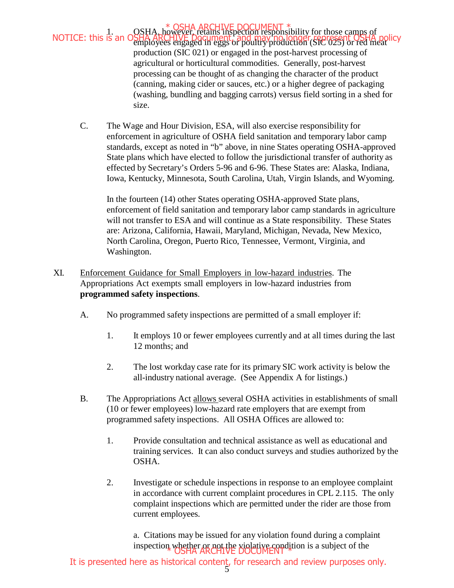1. OSHA, however, retains inspection responsibility for those camps of employees engaged in eggs or poultry production (SIC 025) or red meat production (SIC 021) or engaged in the post-harvest processing of agricultural or horticultural commodities. Generally, post-harvest processing can be thought of as changing the character of the product (canning, making cider or sauces, etc.) or a higher degree of packaging (washing, bundling and bagging carrots) versus field sorting in a shed for size. NOTICE: this is an OSHA ARCHIVE Document, and may no longer represent OSHA policy

C. The Wage and Hour Division, ESA, will also exercise responsibility for enforcement in agriculture of OSHA field sanitation and temporary labor camp standards, except as noted in "b" above, in nine States operating OSHA-approved State plans which have elected to follow the jurisdictional transfer of authority as effected by Secretary's Orders 5-96 and 6-96. These States are: Alaska, Indiana, Iowa, Kentucky, Minnesota, South Carolina, Utah, Virgin Islands, and Wyoming.

In the fourteen (14) other States operating OSHA-approved State plans, enforcement of field sanitation and temporary labor camp standards in agriculture will not transfer to ESA and will continue as a State responsibility. These States are: Arizona, California, Hawaii, Maryland, Michigan, Nevada, New Mexico, North Carolina, Oregon, Puerto Rico, Tennessee, Vermont, Virginia, and Washington.

- XI. Enforcement Guidance for Small Employers in low-hazard industries. The Appropriations Act exempts small employers in low-hazard industries from **programmed safety inspections**.
	- A. No programmed safety inspections are permitted of a small employer if:
		- 1. It employs 10 or fewer employees currently and at all times during the last 12 months; and
		- 2. The lost workday case rate for its primary SIC work activity is below the all-industry national average. (See Appendix A for listings.)
	- B. The Appropriations Act allows several OSHA activities in establishments of small (10 or fewer employees) low-hazard rate employers that are exempt from programmed safety inspections. All OSHA Offices are allowed to:
		- 1. Provide consultation and technical assistance as well as educational and training services. It can also conduct surveys and studies authorized by the OSHA.
		- 2. Investigate or schedule inspections in response to an employee complaint in accordance with current complaint procedures in CPL 2.115. The only complaint inspections which are permitted under the rider are those from current employees.

a. Citations may be issued for any violation found during a complaint inspection whether or not the violative condition is a subject of the inspection.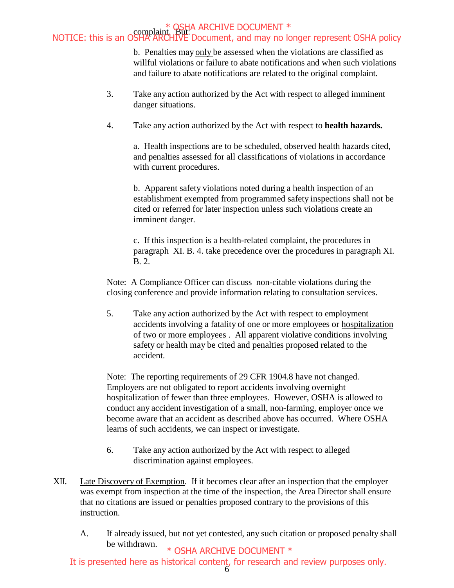b. Penalties may only be assessed when the violations are classified as willful violations or failure to abate notifications and when such violations and failure to abate notifications are related to the original complaint.

- 3. Take any action authorized by the Act with respect to alleged imminent danger situations.
- 4. Take any action authorized by the Act with respect to **health hazards.**

a. Health inspections are to be scheduled, observed health hazards cited, and penalties assessed for all classifications of violations in accordance with current procedures.

b. Apparent safety violations noted during a health inspection of an establishment exempted from programmed safety inspections shall not be cited or referred for later inspection unless such violations create an imminent danger.

c. If this inspection is a health-related complaint, the procedures in paragraph XI. B. 4. take precedence over the procedures in paragraph XI. B. 2.

Note: A Compliance Officer can discuss non-citable violations during the closing conference and provide information relating to consultation services.

5. Take any action authorized by the Act with respect to employment accidents involving a fatality of one or more employees or hospitalization of two or more employees . All apparent violative conditions involving safety or health may be cited and penalties proposed related to the accident.

Note: The reporting requirements of 29 CFR 1904.8 have not changed. Employers are not obligated to report accidents involving overnight hospitalization of fewer than three employees. However, OSHA is allowed to conduct any accident investigation of a small, non-farming, employer once we become aware that an accident as described above has occurred. Where OSHA learns of such accidents, we can inspect or investigate.

- 6. Take any action authorized by the Act with respect to alleged discrimination against employees.
- XII. Late Discovery of Exemption. If it becomes clear after an inspection that the employer was exempt from inspection at the time of the inspection, the Area Director shall ensure that no citations are issued or penalties proposed contrary to the provisions of this instruction.
	- A. If already issued, but not yet contested, any such citation or proposed penalty shall be withdrawn.

\* OSHA ARCHIVE DOCUMENT \*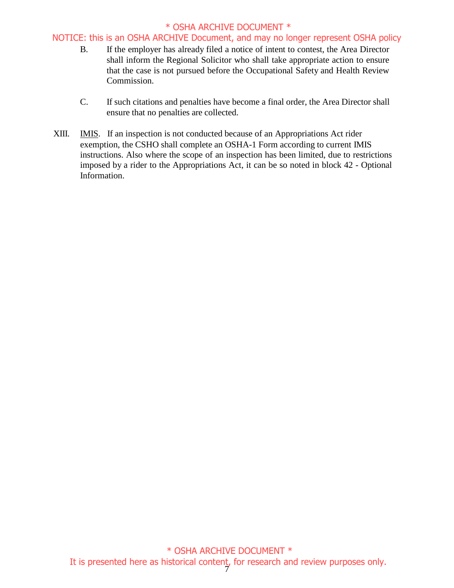## NOTICE: this is an OSHA ARCHIVE Document, and may no longer represent OSHA policy

- B. If the employer has already filed a notice of intent to contest, the Area Director shall inform the Regional Solicitor who shall take appropriate action to ensure that the case is not pursued before the Occupational Safety and Health Review Commission.
- C. If such citations and penalties have become a final order, the Area Director shall ensure that no penalties are collected.
- XIII. IMIS. If an inspection is not conducted because of an Appropriations Act rider exemption, the CSHO shall complete an OSHA-1 Form according to current IMIS instructions. Also where the scope of an inspection has been limited, due to restrictions imposed by a rider to the Appropriations Act, it can be so noted in block 42 - Optional Information.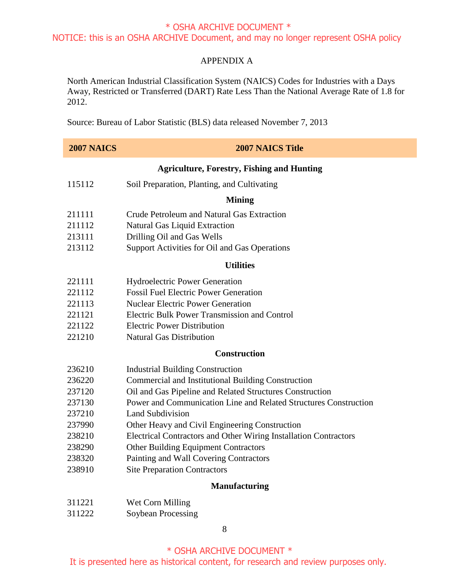## APPENDIX A

North American Industrial Classification System (NAICS) Codes for Industries with a Days Away, Restricted or Transferred (DART) Rate Less Than the National Average Rate of 1.8 for 2012.

Source: Bureau of Labor Statistic (BLS) data released November 7, 2013

| <b>2007 NAICS</b> | <b>2007 NAICS Title</b>                                          |
|-------------------|------------------------------------------------------------------|
|                   | <b>Agriculture, Forestry, Fishing and Hunting</b>                |
| 115112            | Soil Preparation, Planting, and Cultivating                      |
|                   | <b>Mining</b>                                                    |
| 211111            | Crude Petroleum and Natural Gas Extraction                       |
| 211112            | <b>Natural Gas Liquid Extraction</b>                             |
| 213111            | Drilling Oil and Gas Wells                                       |
| 213112            | Support Activities for Oil and Gas Operations                    |
|                   | <b>Utilities</b>                                                 |
| 221111            | <b>Hydroelectric Power Generation</b>                            |
| 221112            | <b>Fossil Fuel Electric Power Generation</b>                     |
| 221113            | <b>Nuclear Electric Power Generation</b>                         |
| 221121            | <b>Electric Bulk Power Transmission and Control</b>              |
| 221122            | <b>Electric Power Distribution</b>                               |
| 221210            | <b>Natural Gas Distribution</b>                                  |
|                   | <b>Construction</b>                                              |
| 236210            | <b>Industrial Building Construction</b>                          |
| 236220            | Commercial and Institutional Building Construction               |
| 237120            | Oil and Gas Pipeline and Related Structures Construction         |
| 237130            | Power and Communication Line and Related Structures Construction |
| 237210            | <b>Land Subdivision</b>                                          |
| 237990            | Other Heavy and Civil Engineering Construction                   |
| 238210            | Electrical Contractors and Other Wiring Installation Contractors |
| 238290            | Other Building Equipment Contractors                             |
| 238320            | Painting and Wall Covering Contractors                           |
| 238910            | <b>Site Preparation Contractors</b>                              |
|                   | <b>Manufacturing</b>                                             |
| 311221            | Wet Corn Milling                                                 |
| 311222            | Soybean Processing                                               |
|                   | 8                                                                |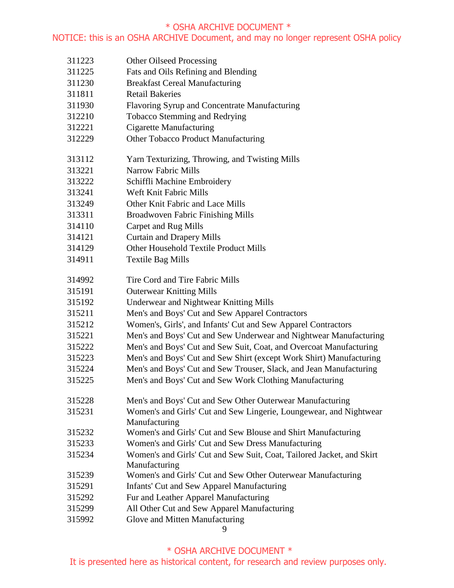## NOTICE: this is an OSHA ARCHIVE Document, and may no longer represent OSHA policy

 Other Oilseed Processing Fats and Oils Refining and Blending Breakfast Cereal Manufacturing Retail Bakeries Flavoring Syrup and Concentrate Manufacturing Tobacco Stemming and Redrying Cigarette Manufacturing Other Tobacco Product Manufacturing Yarn Texturizing, Throwing, and Twisting Mills Narrow Fabric Mills Schiffli Machine Embroidery Weft Knit Fabric Mills Other Knit Fabric and Lace Mills Broadwoven Fabric Finishing Mills Carpet and Rug Mills Curtain and Drapery Mills Other Household Textile Product Mills Textile Bag Mills Tire Cord and Tire Fabric Mills Outerwear Knitting Mills Underwear and Nightwear Knitting Mills Men's and Boys' Cut and Sew Apparel Contractors Women's, Girls', and Infants' Cut and Sew Apparel Contractors Men's and Boys' Cut and Sew Underwear and Nightwear Manufacturing Men's and Boys' Cut and Sew Suit, Coat, and Overcoat Manufacturing Men's and Boys' Cut and Sew Shirt (except Work Shirt) Manufacturing Men's and Boys' Cut and Sew Trouser, Slack, and Jean Manufacturing Men's and Boys' Cut and Sew Work Clothing Manufacturing Men's and Boys' Cut and Sew Other Outerwear Manufacturing Women's and Girls' Cut and Sew Lingerie, Loungewear, and Nightwear Manufacturing Women's and Girls' Cut and Sew Blouse and Shirt Manufacturing Women's and Girls' Cut and Sew Dress Manufacturing Women's and Girls' Cut and Sew Suit, Coat, Tailored Jacket, and Skirt Manufacturing Women's and Girls' Cut and Sew Other Outerwear Manufacturing Infants' Cut and Sew Apparel Manufacturing Fur and Leather Apparel Manufacturing All Other Cut and Sew Apparel Manufacturing Glove and Mitten Manufacturing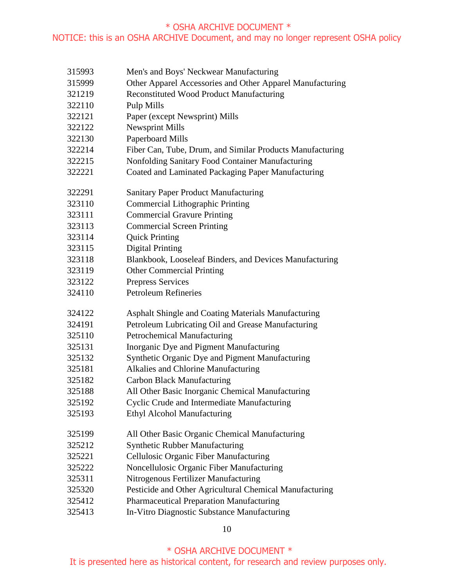- Men's and Boys' Neckwear Manufacturing
- Other Apparel Accessories and Other Apparel Manufacturing
- Reconstituted Wood Product Manufacturing
- Pulp Mills
- Paper (except Newsprint) Mills
- Newsprint Mills
- Paperboard Mills
- Fiber Can, Tube, Drum, and Similar Products Manufacturing
- Nonfolding Sanitary Food Container Manufacturing
- Coated and Laminated Packaging Paper Manufacturing
- Sanitary Paper Product Manufacturing
- Commercial Lithographic Printing
- Commercial Gravure Printing
- Commercial Screen Printing
- Quick Printing
- Digital Printing
- Blankbook, Looseleaf Binders, and Devices Manufacturing
- Other Commercial Printing
- Prepress Services
- Petroleum Refineries
- Asphalt Shingle and Coating Materials Manufacturing
- Petroleum Lubricating Oil and Grease Manufacturing
- Petrochemical Manufacturing
- Inorganic Dye and Pigment Manufacturing
- Synthetic Organic Dye and Pigment Manufacturing
- Alkalies and Chlorine Manufacturing
- Carbon Black Manufacturing
- All Other Basic Inorganic Chemical Manufacturing
- Cyclic Crude and Intermediate Manufacturing
- Ethyl Alcohol Manufacturing
- All Other Basic Organic Chemical Manufacturing
- Synthetic Rubber Manufacturing
- Cellulosic Organic Fiber Manufacturing
- Noncellulosic Organic Fiber Manufacturing
- Nitrogenous Fertilizer Manufacturing
- Pesticide and Other Agricultural Chemical Manufacturing
- Pharmaceutical Preparation Manufacturing
- In-Vitro Diagnostic Substance Manufacturing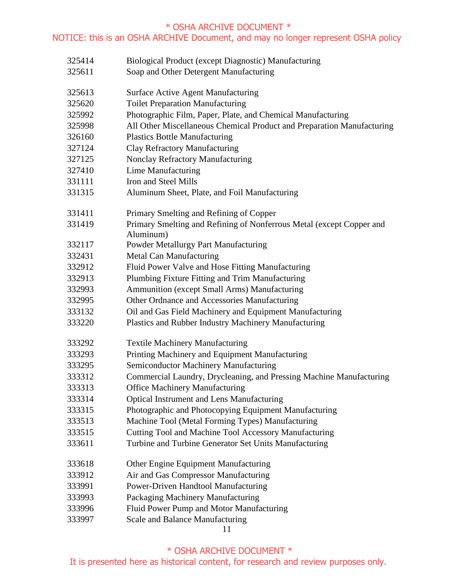## NOTICE: this is an OSHA ARCHIVE Document, and may no longer represent OSHA policy

 Biological Product (except Diagnostic) Manufacturing Soap and Other Detergent Manufacturing Surface Active Agent Manufacturing Toilet Preparation Manufacturing Photographic Film, Paper, Plate, and Chemical Manufacturing All Other Miscellaneous Chemical Product and Preparation Manufacturing Plastics Bottle Manufacturing Clay Refractory Manufacturing Nonclay Refractory Manufacturing Lime Manufacturing Iron and Steel Mills Aluminum Sheet, Plate, and Foil Manufacturing Primary Smelting and Refining of Copper Primary Smelting and Refining of Nonferrous Metal (except Copper and Aluminum) Powder Metallurgy Part Manufacturing Metal Can Manufacturing Fluid Power Valve and Hose Fitting Manufacturing Plumbing Fixture Fitting and Trim Manufacturing Ammunition (except Small Arms) Manufacturing Other Ordnance and Accessories Manufacturing Oil and Gas Field Machinery and Equipment Manufacturing Plastics and Rubber Industry Machinery Manufacturing Textile Machinery Manufacturing Printing Machinery and Equipment Manufacturing Semiconductor Machinery Manufacturing Commercial Laundry, Drycleaning, and Pressing Machine Manufacturing Office Machinery Manufacturing Optical Instrument and Lens Manufacturing Photographic and Photocopying Equipment Manufacturing Machine Tool (Metal Forming Types) Manufacturing Cutting Tool and Machine Tool Accessory Manufacturing Turbine and Turbine Generator Set Units Manufacturing Other Engine Equipment Manufacturing Air and Gas Compressor Manufacturing Power-Driven Handtool Manufacturing Packaging Machinery Manufacturing Fluid Power Pump and Motor Manufacturing Scale and Balance Manufacturing

# \* OSHA ARCHIVE DOCUMENT \*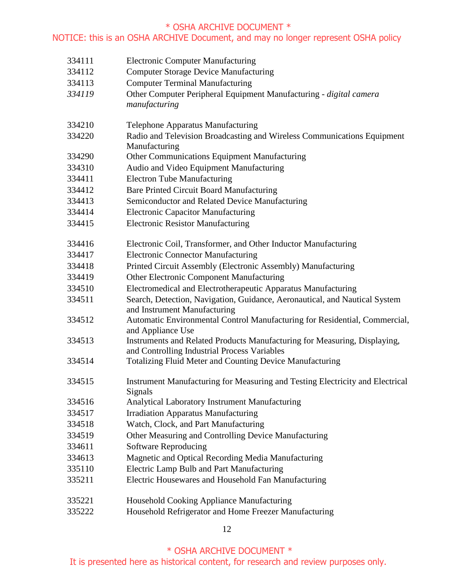| 334111 | <b>Electronic Computer Manufacturing</b>                                                                                  |
|--------|---------------------------------------------------------------------------------------------------------------------------|
| 334112 | <b>Computer Storage Device Manufacturing</b>                                                                              |
| 334113 | <b>Computer Terminal Manufacturing</b>                                                                                    |
| 334119 | Other Computer Peripheral Equipment Manufacturing - digital camera<br>manufacturing                                       |
| 334210 | <b>Telephone Apparatus Manufacturing</b>                                                                                  |
| 334220 | Radio and Television Broadcasting and Wireless Communications Equipment<br>Manufacturing                                  |
| 334290 | Other Communications Equipment Manufacturing                                                                              |
| 334310 | Audio and Video Equipment Manufacturing                                                                                   |
| 334411 | <b>Electron Tube Manufacturing</b>                                                                                        |
| 334412 | <b>Bare Printed Circuit Board Manufacturing</b>                                                                           |
| 334413 | Semiconductor and Related Device Manufacturing                                                                            |
| 334414 | <b>Electronic Capacitor Manufacturing</b>                                                                                 |
| 334415 | <b>Electronic Resistor Manufacturing</b>                                                                                  |
| 334416 | Electronic Coil, Transformer, and Other Inductor Manufacturing                                                            |
| 334417 | <b>Electronic Connector Manufacturing</b>                                                                                 |
| 334418 | Printed Circuit Assembly (Electronic Assembly) Manufacturing                                                              |
| 334419 | Other Electronic Component Manufacturing                                                                                  |
| 334510 | Electromedical and Electrotherapeutic Apparatus Manufacturing                                                             |
| 334511 | Search, Detection, Navigation, Guidance, Aeronautical, and Nautical System<br>and Instrument Manufacturing                |
| 334512 | Automatic Environmental Control Manufacturing for Residential, Commercial,<br>and Appliance Use                           |
| 334513 | Instruments and Related Products Manufacturing for Measuring, Displaying,<br>and Controlling Industrial Process Variables |
| 334514 | <b>Totalizing Fluid Meter and Counting Device Manufacturing</b>                                                           |
| 334515 | Instrument Manufacturing for Measuring and Testing Electricity and Electrical<br>Signals                                  |
| 334516 | <b>Analytical Laboratory Instrument Manufacturing</b>                                                                     |
| 334517 | <b>Irradiation Apparatus Manufacturing</b>                                                                                |
| 334518 | Watch, Clock, and Part Manufacturing                                                                                      |
| 334519 | Other Measuring and Controlling Device Manufacturing                                                                      |
| 334611 | <b>Software Reproducing</b>                                                                                               |
| 334613 | Magnetic and Optical Recording Media Manufacturing                                                                        |
| 335110 | Electric Lamp Bulb and Part Manufacturing                                                                                 |
| 335211 | Electric Housewares and Household Fan Manufacturing                                                                       |
| 335221 | Household Cooking Appliance Manufacturing                                                                                 |
| 335222 | Household Refrigerator and Home Freezer Manufacturing                                                                     |

\* OSHA ARCHIVE DOCUMENT \*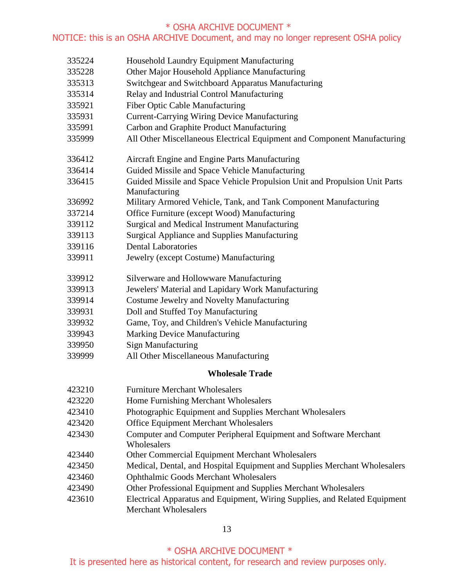Household Laundry Equipment Manufacturing Other Major Household Appliance Manufacturing Switchgear and Switchboard Apparatus Manufacturing Relay and Industrial Control Manufacturing Fiber Optic Cable Manufacturing Current-Carrying Wiring Device Manufacturing Carbon and Graphite Product Manufacturing All Other Miscellaneous Electrical Equipment and Component Manufacturing Aircraft Engine and Engine Parts Manufacturing Guided Missile and Space Vehicle Manufacturing Guided Missile and Space Vehicle Propulsion Unit and Propulsion Unit Parts Manufacturing Military Armored Vehicle, Tank, and Tank Component Manufacturing Office Furniture (except Wood) Manufacturing Surgical and Medical Instrument Manufacturing Surgical Appliance and Supplies Manufacturing Dental Laboratories Jewelry (except Costume) Manufacturing Silverware and Hollowware Manufacturing Jewelers' Material and Lapidary Work Manufacturing Costume Jewelry and Novelty Manufacturing Doll and Stuffed Toy Manufacturing Game, Toy, and Children's Vehicle Manufacturing Marking Device Manufacturing Sign Manufacturing All Other Miscellaneous Manufacturing **Wholesale Trade**  Furniture Merchant Wholesalers Home Furnishing Merchant Wholesalers Photographic Equipment and Supplies Merchant Wholesalers Office Equipment Merchant Wholesalers Computer and Computer Peripheral Equipment and Software Merchant **Wholesalers**  Other Commercial Equipment Merchant Wholesalers Medical, Dental, and Hospital Equipment and Supplies Merchant Wholesalers Ophthalmic Goods Merchant Wholesalers Other Professional Equipment and Supplies Merchant Wholesalers Electrical Apparatus and Equipment, Wiring Supplies, and Related Equipment

Merchant Wholesalers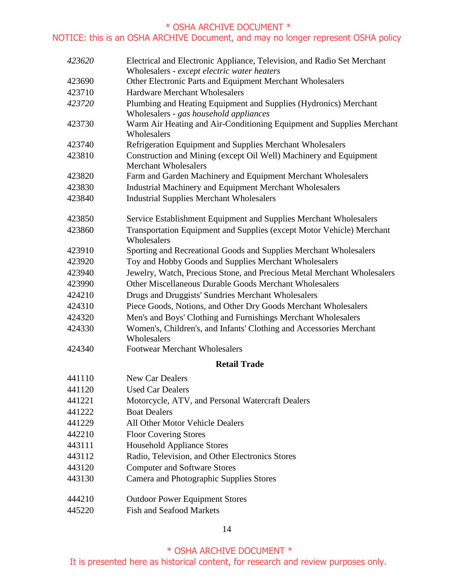# NOTICE: this is an OSHA ARCHIVE Document, and may no longer represent OSHA policy

| 423620 | Electrical and Electronic Appliance, Television, and Radio Set Merchant<br>Wholesalers - except electric water heaters |
|--------|------------------------------------------------------------------------------------------------------------------------|
| 423690 | Other Electronic Parts and Equipment Merchant Wholesalers                                                              |
| 423710 | <b>Hardware Merchant Wholesalers</b>                                                                                   |
| 423720 | Plumbing and Heating Equipment and Supplies (Hydronics) Merchant<br>Wholesalers - gas household appliances             |
| 423730 | Warm Air Heating and Air-Conditioning Equipment and Supplies Merchant<br>Wholesalers                                   |
| 423740 | Refrigeration Equipment and Supplies Merchant Wholesalers                                                              |
| 423810 | Construction and Mining (except Oil Well) Machinery and Equipment<br><b>Merchant Wholesalers</b>                       |
| 423820 | Farm and Garden Machinery and Equipment Merchant Wholesalers                                                           |
| 423830 | Industrial Machinery and Equipment Merchant Wholesalers                                                                |
| 423840 | <b>Industrial Supplies Merchant Wholesalers</b>                                                                        |
| 423850 | Service Establishment Equipment and Supplies Merchant Wholesalers                                                      |
| 423860 | Transportation Equipment and Supplies (except Motor Vehicle) Merchant<br>Wholesalers                                   |
| 423910 | Sporting and Recreational Goods and Supplies Merchant Wholesalers                                                      |
| 423920 | Toy and Hobby Goods and Supplies Merchant Wholesalers                                                                  |
| 423940 | Jewelry, Watch, Precious Stone, and Precious Metal Merchant Wholesalers                                                |
| 423990 | Other Miscellaneous Durable Goods Merchant Wholesalers                                                                 |
| 424210 | Drugs and Druggists' Sundries Merchant Wholesalers                                                                     |
| 424310 | Piece Goods, Notions, and Other Dry Goods Merchant Wholesalers                                                         |
| 424320 | Men's and Boys' Clothing and Furnishings Merchant Wholesalers                                                          |
| 424330 | Women's, Children's, and Infants' Clothing and Accessories Merchant<br>Wholesalers                                     |
| 424340 | <b>Footwear Merchant Wholesalers</b>                                                                                   |
|        | <b>Retail Trade</b>                                                                                                    |
| 441110 | <b>New Car Dealers</b>                                                                                                 |
| 441120 | <b>Used Car Dealers</b>                                                                                                |
| 441221 | Motorcycle, ATV, and Personal Watercraft Dealers                                                                       |
| 441222 | <b>Boat Dealers</b>                                                                                                    |
| 441229 | All Other Motor Vehicle Dealers                                                                                        |
| 442210 | <b>Floor Covering Stores</b>                                                                                           |
| 443111 | <b>Household Appliance Stores</b>                                                                                      |
| 443112 | Radio, Television, and Other Electronics Stores                                                                        |
| 443120 | <b>Computer and Software Stores</b>                                                                                    |
| 443130 | Camera and Photographic Supplies Stores                                                                                |
| 444210 | <b>Outdoor Power Equipment Stores</b>                                                                                  |
| 445220 | Fish and Seafood Markets                                                                                               |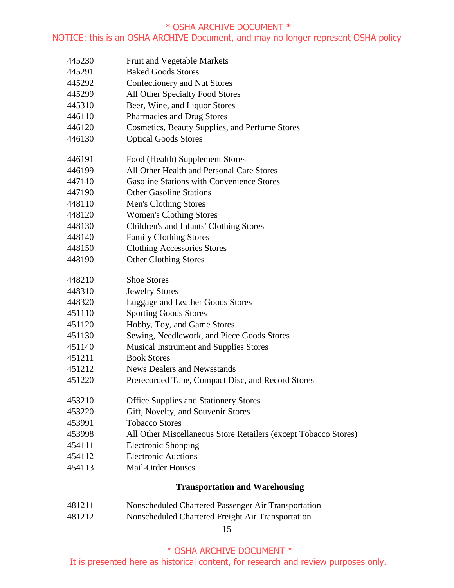## NOTICE: this is an OSHA ARCHIVE Document, and may no longer represent OSHA policy

- Fruit and Vegetable Markets
- Baked Goods Stores
- Confectionery and Nut Stores
- All Other Specialty Food Stores
- Beer, Wine, and Liquor Stores
- Pharmacies and Drug Stores
- Cosmetics, Beauty Supplies, and Perfume Stores
- Optical Goods Stores
- Food (Health) Supplement Stores
- All Other Health and Personal Care Stores
- Gasoline Stations with Convenience Stores
- Other Gasoline Stations
- Men's Clothing Stores
- Women's Clothing Stores
- Children's and Infants' Clothing Stores
- Family Clothing Stores
- Clothing Accessories Stores
- Other Clothing Stores
- Shoe Stores
- Jewelry Stores
- Luggage and Leather Goods Stores
- Sporting Goods Stores
- Hobby, Toy, and Game Stores
- Sewing, Needlework, and Piece Goods Stores
- Musical Instrument and Supplies Stores
- Book Stores
- News Dealers and Newsstands
- Prerecorded Tape, Compact Disc, and Record Stores
- Office Supplies and Stationery Stores
- Gift, Novelty, and Souvenir Stores
- Tobacco Stores
- All Other Miscellaneous Store Retailers (except Tobacco Stores)
- Electronic Shopping
- Electronic Auctions
- Mail-Order Houses

## **Transportation and Warehousing**

- Nonscheduled Chartered Passenger Air Transportation
- Nonscheduled Chartered Freight Air Transportation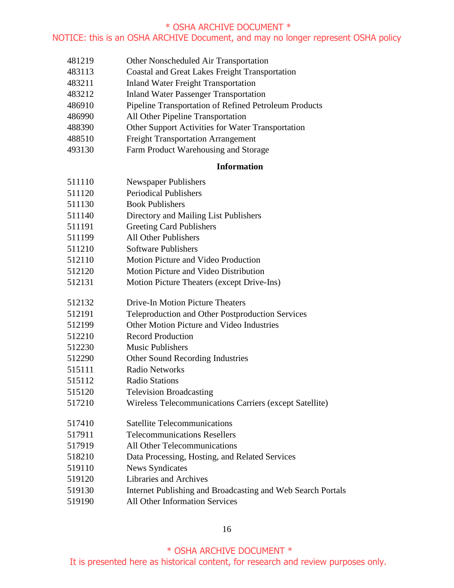### NOTICE: this is an OSHA ARCHIVE Document, and may no longer represent OSHA policy

- Other Nonscheduled Air Transportation
- Coastal and Great Lakes Freight Transportation
- Inland Water Freight Transportation
- Inland Water Passenger Transportation
- Pipeline Transportation of Refined Petroleum Products
- All Other Pipeline Transportation
- Other Support Activities for Water Transportation
- Freight Transportation Arrangement
- Farm Product Warehousing and Storage

#### **Information**

| 511110 | <b>Newspaper Publishers</b>                                 |
|--------|-------------------------------------------------------------|
| 511120 | <b>Periodical Publishers</b>                                |
| 511130 | <b>Book Publishers</b>                                      |
| 511140 | Directory and Mailing List Publishers                       |
| 511191 | <b>Greeting Card Publishers</b>                             |
| 511199 | <b>All Other Publishers</b>                                 |
| 511210 | <b>Software Publishers</b>                                  |
| 512110 | Motion Picture and Video Production                         |
| 512120 | Motion Picture and Video Distribution                       |
| 512131 | Motion Picture Theaters (except Drive-Ins)                  |
| 512132 | <b>Drive-In Motion Picture Theaters</b>                     |
| 512191 | Teleproduction and Other Postproduction Services            |
| 512199 | Other Motion Picture and Video Industries                   |
| 512210 | <b>Record Production</b>                                    |
| 512230 | <b>Music Publishers</b>                                     |
| 512290 | Other Sound Recording Industries                            |
| 515111 | <b>Radio Networks</b>                                       |
| 515112 | <b>Radio Stations</b>                                       |
| 515120 | <b>Television Broadcasting</b>                              |
| 517210 | Wireless Telecommunications Carriers (except Satellite)     |
| 517410 | <b>Satellite Telecommunications</b>                         |
| 517911 | <b>Telecommunications Resellers</b>                         |
| 517919 | All Other Telecommunications                                |
| 518210 | Data Processing, Hosting, and Related Services              |
| 519110 | <b>News Syndicates</b>                                      |
| 519120 | Libraries and Archives                                      |
| 519130 | Internet Publishing and Broadcasting and Web Search Portals |
|        |                                                             |

All Other Information Services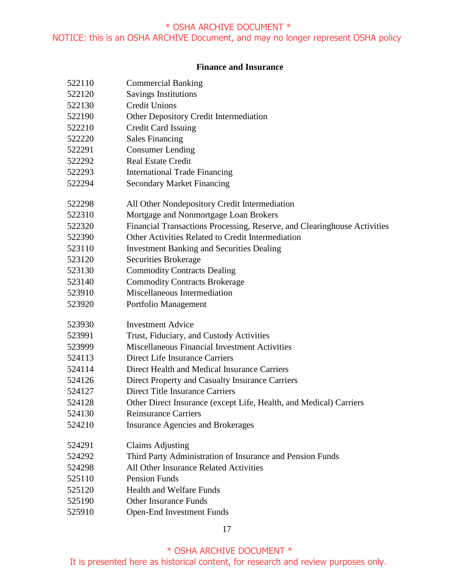## **Finance and Insurance**

| 522110 | <b>Commercial Banking</b>                                                |
|--------|--------------------------------------------------------------------------|
| 522120 | <b>Savings Institutions</b>                                              |
| 522130 | <b>Credit Unions</b>                                                     |
| 522190 | Other Depository Credit Intermediation                                   |
| 522210 | <b>Credit Card Issuing</b>                                               |
| 522220 | <b>Sales Financing</b>                                                   |
| 522291 | <b>Consumer Lending</b>                                                  |
| 522292 | <b>Real Estate Credit</b>                                                |
| 522293 | <b>International Trade Financing</b>                                     |
| 522294 | <b>Secondary Market Financing</b>                                        |
| 522298 | All Other Nondepository Credit Intermediation                            |
| 522310 | Mortgage and Nonmortgage Loan Brokers                                    |
| 522320 | Financial Transactions Processing, Reserve, and Clearinghouse Activities |
| 522390 | Other Activities Related to Credit Intermediation                        |
| 523110 | <b>Investment Banking and Securities Dealing</b>                         |
| 523120 | Securities Brokerage                                                     |
| 523130 | <b>Commodity Contracts Dealing</b>                                       |
| 523140 | <b>Commodity Contracts Brokerage</b>                                     |
| 523910 | Miscellaneous Intermediation                                             |
| 523920 | Portfolio Management                                                     |
| 523930 | <b>Investment Advice</b>                                                 |
| 523991 | Trust, Fiduciary, and Custody Activities                                 |
| 523999 | Miscellaneous Financial Investment Activities                            |
| 524113 | Direct Life Insurance Carriers                                           |
| 524114 | Direct Health and Medical Insurance Carriers                             |
| 524126 | Direct Property and Casualty Insurance Carriers                          |
| 524127 | <b>Direct Title Insurance Carriers</b>                                   |
| 524128 | Other Direct Insurance (except Life, Health, and Medical) Carriers       |
| 524130 | <b>Reinsurance Carriers</b>                                              |
| 524210 | <b>Insurance Agencies and Brokerages</b>                                 |
| 524291 | <b>Claims Adjusting</b>                                                  |
| 524292 | Third Party Administration of Insurance and Pension Funds                |
| 524298 | All Other Insurance Related Activities                                   |
| 525110 | <b>Pension Funds</b>                                                     |
| 525120 | <b>Health and Welfare Funds</b>                                          |
| 525190 | <b>Other Insurance Funds</b>                                             |
| 525910 | <b>Open-End Investment Funds</b>                                         |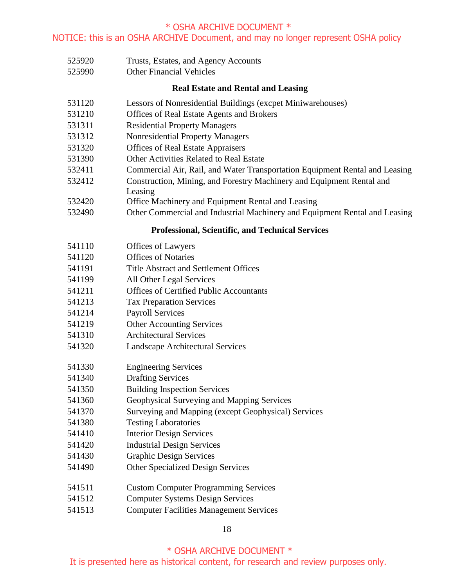- Trusts, Estates, and Agency Accounts
- Other Financial Vehicles

### **Real Estate and Rental and Leasing**

- Lessors of Nonresidential Buildings (excpet Miniwarehouses)
- Offices of Real Estate Agents and Brokers
- Residential Property Managers
- Nonresidential Property Managers
- Offices of Real Estate Appraisers
- Other Activities Related to Real Estate
- Commercial Air, Rail, and Water Transportation Equipment Rental and Leasing
- Construction, Mining, and Forestry Machinery and Equipment Rental and
- Leasing
- Office Machinery and Equipment Rental and Leasing
- Other Commercial and Industrial Machinery and Equipment Rental and Leasing

#### **Professional, Scientific, and Technical Services**

- Offices of Lawyers
- Offices of Notaries
- Title Abstract and Settlement Offices
- All Other Legal Services
- Offices of Certified Public Accountants
- Tax Preparation Services
- Payroll Services
- Other Accounting Services
- Architectural Services
- Landscape Architectural Services
- Engineering Services
- Drafting Services
- Building Inspection Services
- Geophysical Surveying and Mapping Services
- Surveying and Mapping (except Geophysical) Services
- Testing Laboratories
- Interior Design Services
- Industrial Design Services
- Graphic Design Services
- Other Specialized Design Services
- Custom Computer Programming Services
- Computer Systems Design Services
- Computer Facilities Management Services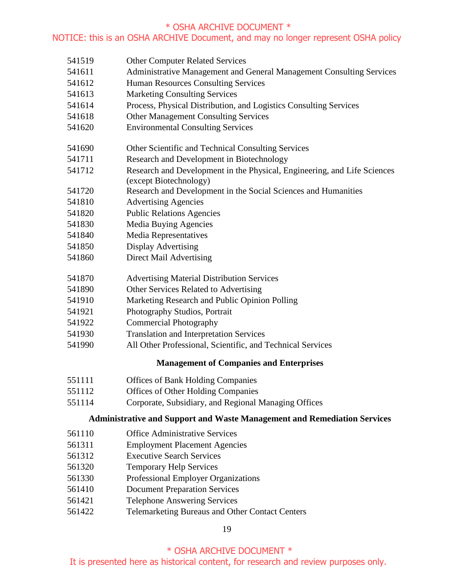## NOTICE: this is an OSHA ARCHIVE Document, and may no longer represent OSHA policy

- Other Computer Related Services
- Administrative Management and General Management Consulting Services
- Human Resources Consulting Services
- Marketing Consulting Services
- Process, Physical Distribution, and Logistics Consulting Services
- Other Management Consulting Services
- Environmental Consulting Services
- Other Scientific and Technical Consulting Services
- Research and Development in Biotechnology
- Research and Development in the Physical, Engineering, and Life Sciences (except Biotechnology)
- Research and Development in the Social Sciences and Humanities
- Advertising Agencies
- Public Relations Agencies
- Media Buying Agencies
- Media Representatives
- Display Advertising
- Direct Mail Advertising
- Advertising Material Distribution Services
- Other Services Related to Advertising
- Marketing Research and Public Opinion Polling
- Photography Studios, Portrait
- Commercial Photography
- Translation and Interpretation Services
- All Other Professional, Scientific, and Technical Services

# **Management of Companies and Enterprises**

- Offices of Bank Holding Companies
- Offices of Other Holding Companies
- Corporate, Subsidiary, and Regional Managing Offices

## **Administrative and Support and Waste Management and Remediation Services**

- Office Administrative Services
- Employment Placement Agencies
- Executive Search Services
- Temporary Help Services
- Professional Employer Organizations
- Document Preparation Services
- Telephone Answering Services
- Telemarketing Bureaus and Other Contact Centers

## \* OSHA ARCHIVE DOCUMENT \*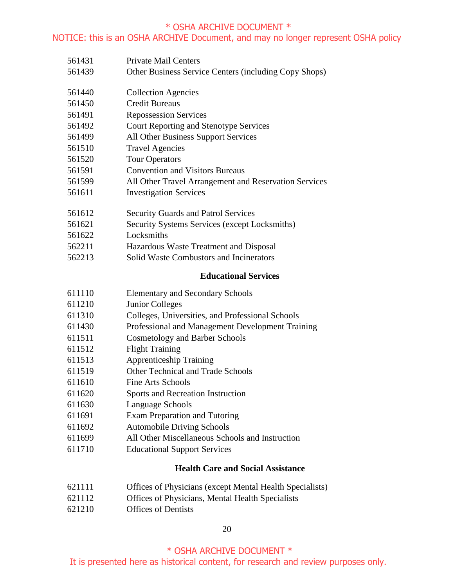# NOTICE: this is an OSHA ARCHIVE Document, and may no longer represent OSHA policy

| 561431 | <b>Private Mail Centers</b>                              |
|--------|----------------------------------------------------------|
| 561439 | Other Business Service Centers (including Copy Shops)    |
|        |                                                          |
| 561440 | <b>Collection Agencies</b>                               |
| 561450 | <b>Credit Bureaus</b>                                    |
| 561491 | <b>Repossession Services</b>                             |
| 561492 | <b>Court Reporting and Stenotype Services</b>            |
| 561499 | All Other Business Support Services                      |
| 561510 | <b>Travel Agencies</b>                                   |
| 561520 | <b>Tour Operators</b>                                    |
| 561591 | <b>Convention and Visitors Bureaus</b>                   |
| 561599 | All Other Travel Arrangement and Reservation Services    |
| 561611 | <b>Investigation Services</b>                            |
| 561612 | <b>Security Guards and Patrol Services</b>               |
| 561621 | Security Systems Services (except Locksmiths)            |
| 561622 | Locksmiths                                               |
| 562211 | Hazardous Waste Treatment and Disposal                   |
| 562213 | Solid Waste Combustors and Incinerators                  |
|        | <b>Educational Services</b>                              |
| 611110 | <b>Elementary and Secondary Schools</b>                  |
| 611210 | <b>Junior Colleges</b>                                   |
| 611310 | Colleges, Universities, and Professional Schools         |
| 611430 | Professional and Management Development Training         |
| 611511 | <b>Cosmetology and Barber Schools</b>                    |
| 611512 | <b>Flight Training</b>                                   |
| 611513 | <b>Apprenticeship Training</b>                           |
| 611519 | Other Technical and Trade Schools                        |
| 611610 | Fine Arts Schools                                        |
| 611620 | Sports and Recreation Instruction                        |
| 611630 | Language Schools                                         |
| 611691 | <b>Exam Preparation and Tutoring</b>                     |
| 611692 | <b>Automobile Driving Schools</b>                        |
| 611699 | All Other Miscellaneous Schools and Instruction          |
| 611710 | <b>Educational Support Services</b>                      |
|        | <b>Health Care and Social Assistance</b>                 |
| 621111 | Offices of Physicians (except Mental Health Specialists) |
| 621112 | Offices of Physicians, Mental Health Specialists         |
| 621210 | <b>Offices of Dentists</b>                               |

## 

 \* OSHA ARCHIVE DOCUMENT \* It is presented here as historical content, for research and review purposes only.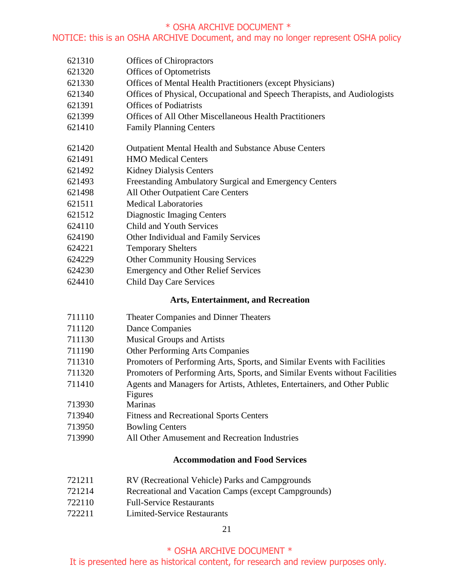## NOTICE: this is an OSHA ARCHIVE Document, and may no longer represent OSHA policy

- Offices of Chiropractors
- Offices of Optometrists
- Offices of Mental Health Practitioners (except Physicians)
- Offices of Physical, Occupational and Speech Therapists, and Audiologists
- Offices of Podiatrists
- Offices of All Other Miscellaneous Health Practitioners
- Family Planning Centers
- Outpatient Mental Health and Substance Abuse Centers
- HMO Medical Centers
- Kidney Dialysis Centers
- Freestanding Ambulatory Surgical and Emergency Centers
- All Other Outpatient Care Centers
- Medical Laboratories
- Diagnostic Imaging Centers
- Child and Youth Services
- Other Individual and Family Services
- Temporary Shelters
- Other Community Housing Services
- Emergency and Other Relief Services
- Child Day Care Services

## **Arts, Entertainment, and Recreation**

- Theater Companies and Dinner Theaters
- Dance Companies
- Musical Groups and Artists
- Other Performing Arts Companies
- Promoters of Performing Arts, Sports, and Similar Events with Facilities
- Promoters of Performing Arts, Sports, and Similar Events without Facilities
- Agents and Managers for Artists, Athletes, Entertainers, and Other Public
- Figures
- Marinas
- Fitness and Recreational Sports Centers
- Bowling Centers
- All Other Amusement and Recreation Industries

## **Accommodation and Food Services**

- RV (Recreational Vehicle) Parks and Campgrounds
- Recreational and Vacation Camps (except Campgrounds)
- Full-Service Restaurants
- Limited-Service Restaurants

# \* OSHA ARCHIVE DOCUMENT \*